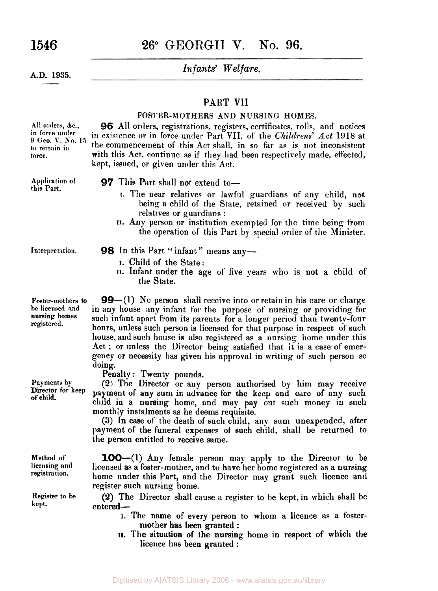**1546 26"** GEORGII **V.** No. **96.** 

*Infants' Welfare.* **A.D. 1935.** 

#### PART VlI

#### **FOSTER-MOTHERS AND NURSING HOMES.**

*96* All orders, registrations, registers, certificates, rolls, and notices in existence **or** in force under Part **VII.** of the *Childrens'* Act **1918** at the commencement of this Act **shall,** in so far as is not inconsistent with this Act, continue as if they had been respectively made, effected, kept, issued, or given under this Act.

**All orders,** *&c.,*  **in force under 9 Geo. V. No. 15 to remain** in **force.** 

**Application of 97 This Part shall not extend to—** this Part.

I. Child of the State:

the State.

- **I.** The near relatives or lawful guardians of any child, not being a child of the State, retained or received by such relatives or guardians :
- **II.** Any person or institution exempted for the time being from the operation of this Part by special order of the Minister.

**II.** Infant under the age of five years who is not a child of

Interpretation. **98** In this Part "infant" means any-

**Foster-mothers to be licensed and homes registered.** 

**Method of licensing and registration.** 

**Register to be** 

**99**-(1) No person shall receive into or retain in his care or charge in any house any infant for the purpose of nursing or providing for such infant apart from its parents for a longer period than twenty-four hours, unless such person is licensed for that purpose in respect **of** such house, and such house is also registered as a nursing home under this Act ; or unless the Director being satisfied that it is a case of emergency or necessity has given his approval in writing of such person so doing.

Penalty : Twenty pounds.

**Payments** by **(2)** The Director or **any** person authorised by him may receive **Director for keep** payment of any sum in advance for the keep and care of any such **of child.** child in a nursing home, and may pay out such money in such monthly instalments as he deems requisite.

(3) **In** case of the death of such child, any sum unexpended, after payment of the funeral expenses **of** such child, shall be returned to the person entitled to receive same.

**100-(1)** Any female person may apply to the Director to be licensed **as** a foster-mother, and to have her home registered as a nursing home under this Part, and the Director may grant such licence and register such nursing home.

**kept.** entered-**(2)** The Director shall cause a register to be kept, in which shall be

- I. The name of every person to whom **a** licence as a fostermother has been granted :
- **II.** The situation of the nursing home in respect of which the licence has been granted :

Digitised by AIATSIS Library 2006 - www.aiatsis.gov.au/library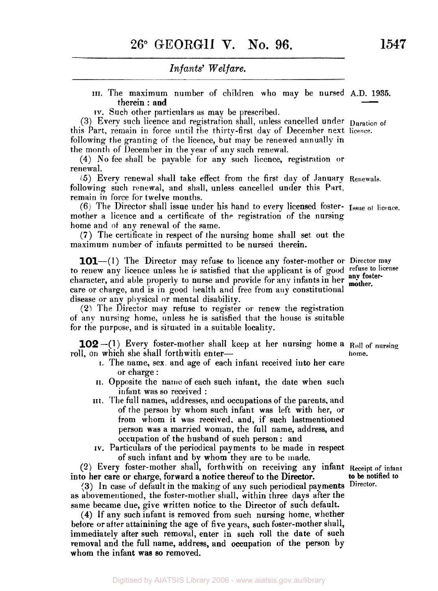#### *Infants' Welfare.*

- **III.** The maximum number of children who may be nursed A.D. **1935.**  Infants' Welfare.<br>
e maximum number of children who may be nursed A.D. 1935.<br>
therein: and<br>
tch other particulars as may be prescribed.
- IV. Such other particulars as may be prescribed.

(3) Every such licence and registration shall, unless cancelled under Duration of this Part, remain in force until the thirty-first day of December next licence. following the granting of the licence, but may be renewed annually in the month of December in the year of any such renewal.

**(4)** No fee shall be payable for any such licence, registration or renewal.

*(5)* Every renewal shall take effect from the first day of January **Renewals.**  following such renewal, and shall, unless cancelled under this Part, remain in force for twelve months.

mother a licence and a certificate of the registration of the nursing home and of any renewal of the same. (6) The Director shall issue under his hand to every licensed foster- **Issue** *ot* **licence.** 

**(7)** The certificate in respect of the nursing home shall set out the maximum number of infants permitted to be nursed therein.

**101**—(1) The Director may refuse to licence any foster-mother or Director may to renew any licence unless he is satisfied that the applicant is of good **refuse** *to* **license**  character, and able properly to nurse and provide for any infants in her **any foster**care or charge, and is in good health and free from **any** constitutional disease or any physical or mental disability.

**(2)** The Director may refuse to register or renew the registration of any nursing home, unless he is satisfied that the house is suitable for the purpose, and is situated in a suitable locality.

roll, on which she shall forthwith enter-**102** –(1) Every foster-mother shall keep at her nursing home a Roll of nursing **ho m** *e.* 

- **I.** The name, sex and age of each infant received into her care or charge :
- II. Opposite the name of each such infant, the date when such infant was so received :
- **III.** The full names, addresses, and occupations of the parents, and of the person by whom such infant was left with her, or from whom it was received. and, if such lastmentioned person was a married woman, the full name, address, and occupation of the husband of such person : and
- IV. Particulars of the periodical payments to be made in respect of such infant and by whom they are to be made.

**(2)** Every foster-mother shall, forthwith on receiving any infant **Receipt of infant**  into her care or charge, forward a notice thereof to the Director. **to be notified to** 

**(3)** In case of default in the making of any such periodical payments **Director**as abovemeutioned, the foster-mother shall, within three days after the same became due, give written notice to the Director of such default.

**(4)** If any such infant is removed from such nursing home, whether before or after attainining the age of five years, such foster-mother shall, immediately after such removal, enter in such roll the date of such removal and the full name, address, and occupation of the person by whom the infant **was** so removed.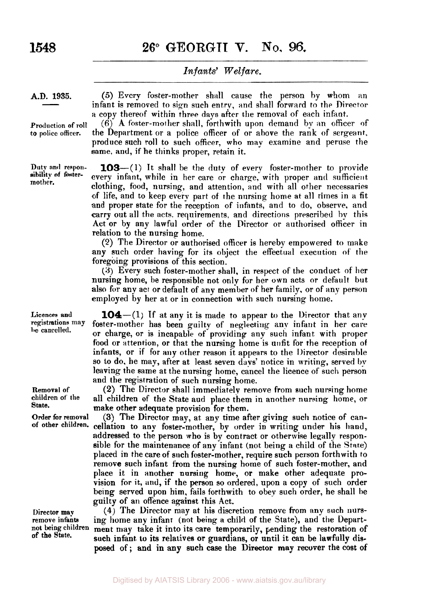**1548 26° GEORGII V. No. 96.** 

#### *Infants' Welfare.*

A.D. 1935.

Production of roll **to police officer.** 

**Duty and responmother.** 

**Licences and registrations be cancelled.** 

(5) Every foster-mother shall cause the person by whom an infant is removed to sign such entry, and shall forward to the Director **a** copy thereof within three days after the removal of each infant.

 $(6)$  A foster-mother shall, forthwith upon demand by an officer of the Department or a police officer of or above the rank of sergeant, produce such roll **to** such officer, who may examine and peruse the same, and, if he thinks proper, retain it.

**103**—(1) It shall be the duty of every foster-mother to provide every infant, while in her care or charge, with proper and sufficient clothing, food, nursing, and attention, and with all other necessaries of life, arid **to** keep every part of the nursing home at all times in a fit and proper state for the reception of infants, and to **do,** observe, and carry out all the acts. requirements, and directions prescribed by this Act or by any lawful order of the Director or authorised officer in relation to the nursing home.

(2) The Director or authorised officer is hereby empowered to make any such order having for its object the effectual execution of the foregoing provisions of this section.

**(3)** Every such foster-mother shall, in respect of the conduct of her nursing home, be responsible not **only** for her own acts or default but also for any act or default of any member of her family. or of any person employed by her at or in connection with such nursing home.

**104**-(1) If at any it is made to appear to the Director that any foster-mother has been guilty of neglecting any infant in her care or charge, or is incapable of providing any such infant with proper food or attention, or that the nursing home is unfit for the reception **of**  infants, or if for any other reason it appears to the Director desirable so to do, he may, after at least seven davs' notice in writing, served **by**  leaving the same at the nursing home, cancel the licence of such person and the registration of such nursing home.

**Removal of (2) The Director shall immediately remove from such nursing home**<br>children of the sall children of the State and place them in another nursing home or **children of the** all children **of** the State and place them in another nursing home, or **State.** make other adequate provision for them.

Order for removal (3) The Director may, at any time after giving such notice of can-<br>of other children, cellation to any foster mother by under in writing under his hand cellation to any foster-mother, by order in writing under his hand, addressed to the person who is by contract or otherwise legally responsible for the maintenance of any infant (not being a child of the Stare) placed in the care of such foster-mother, require such person forthwith **to**  remove such infant from the nursing home of such foster-mother, and place it in another nursing home, or make other adequate provision for it, **and,** if the person so ordered, upon a copy of such order being served upon him, fails forthwith to obey such order, he shall he guilty of an offence against this Act.

Director may (4) The Director may at his discretion remove from any such nursremove infants ing home any infant (not being a child of the State), and the Depart-<br>not being children ment may take it into its care, temporarily rending the restoration of not being children **ment** may take it into its care temporarily, pending the restoration of of the State. **Of the State.** such infant. **to** its relatives or guardians, or until it **can** be lawfully dis**posed** of; **and** in **any** such case the Director may recover the cost of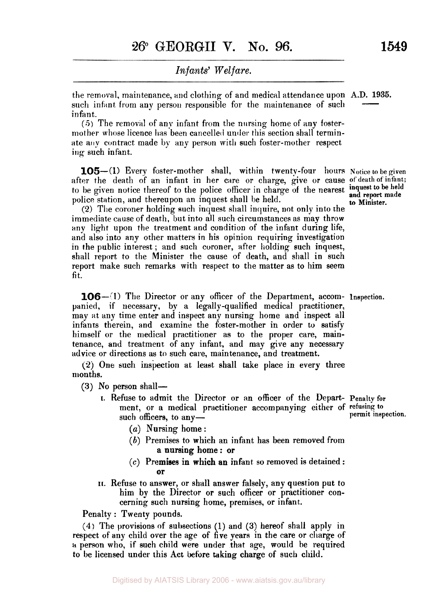the removal, maintenance, and clothing of and medical attendance upon A.D. **1935.**  such infant from any person responsible for the maintenance of such in fant.  $\frac{1935}{\frac{1}{2}}$ 

*(5)* The removal of any infant from the nursing home of any fostermother whose licence has been cancelled under this section shall terminate any contract made by any person with such foster-mother respect ing such infant.

**105—(1)** Every foster-mother shall, within twenty-four hours Notice to be given after the death of an infant in her care or charge, give or cause of death of infant; to be given notice thereof to the police officer in charge of the nearest police station, and thereupon an inquest shall be held.

**(2)** The coroner holding such inquest shall inquire, not only into the immediate cause of death, but into all such circumstances as may throw any light upon the treatment and condition of the infant during life, and also into any other matters in his opinion requiring investigation in the public interest ; and such coroner, after holding such inquest, shall report to the Minister the cause of death, and shall in such report make such remarks with respect to the matter as to him seem fit.

**106**-(1) The Director or any officer of the Department, accom- Inspection. panied, **if** necessary, by **a** legally -qualified medical practitioner, may at any time enter and inspect any nursing home and inspect all infants therein, and examine the foster-mother in order to satisfy himself or the medical practitioner as to the proper care, maintenance, and treatment of any infant, and may give any necessary advice or directions as to such care, maintenance, and treatment.

**(2)** One such inspection at least shall take place in every three months.

**(3)** No person shall-

- I. Refuse to admit the Director or an officer of the Depart-**Penalty for**  ment, or a medical practitioner accompanying either of **refusing to**  such officers, to any**permit inspection.** 
	- (a) Nursing home:
	- **(b)** Premises to which an infant has been removed from a nursing home: or
	- *(c)* Premises in which an infant so removed is detained : or
- **I[.** Refuse to answer, or shall answer falsely, any question put to him by the Director or such officer or practitioner concerning such nursing home, premises, or infant.

Penalty : Twenty pounds.

**(4)** The provisions **of** subsections (1) and (3) hereof shall apply in respect of any child over the age of five years in the care or charge of *a* person who, if such child were under that age, would be required to be licensed under this Act before taking charge of such child.

**inquest to be held and report made to Minister.**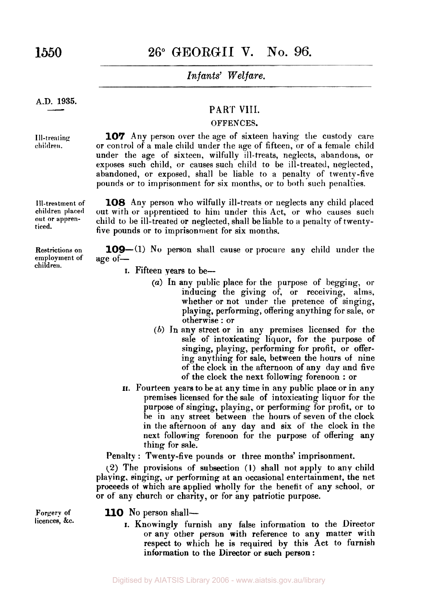### **1550 26°** GEORGII **V. No. 96.**

#### *Infants' Welfare.*

## **A.D. 1935.**   $\frac{1935.}{\sqrt{100}}$

**Ill-treating**   $children.$ 

**I Il-treatment of children placed out or apprenticed.** 

**Restrictions on employment of children.** 

#### PART VIII.

#### **OFFENCES.**

**107** Any person over the age of sixteen having the custody care or control of a male child under the age of fifteen, or of a female child under the age of sixteen, wilfully ill-treats, neglects, abandons, or exposes such child, or causes such child to be ill-treated, neglected, abandoned, or exposed, shall be liable to a penalty of twenty-five pounds or to imprisonment for six months, or to both such penalties.

**108** Any person who wilfully ill-treats or neglects any child placed out with or apprenticed to him under this Act, or who causes such child to be ill-treated or neglected, shall be liable to a penalty of twentyfive pounds or to imprisonment for six months.

**109**—(1) No person shall cause or procure any child under the age *of-*

- I. Fifteen years to be-
	- *(a)* In any public place for the purpose of begging, or inducing the giving of, or receiving, alms, whether or not under the pretence of singing, playing, performing, offering anything for sale, or otherwise : or
	- *(b)* **In** any street or in any premises licensed for the sale of intoxicating liquor, for the purpose of singing, playing, performing for profit, or offering anything for sale, between the hours of nine of the clock in the afternoon of any day and five of the clock the next following forenoon : or
- **II.** Fourteen years to be at any time in any public place or in any premises licensed for the sale of intoxicating liquor for the purpose of singing, playing, or performing for profit, or to be in any street between the hours of seven of the clock in the afternoon of any day and six of the clock in the next following forenoon for the purpose of offering any thing for sale.

Penalty : Twenty-five pounds or three months' imprisonment.

**(2)** The provisions of subsection (I) shall not apply to any child playing, singing, **or** performing at an occasional entertainment, the net proceeds **of** which are applied wholly for the benefit of any school. or or of any church or charity, or for any patriotic purpose.

**Forgery of licences, &c.**  110 No person shall-

I. Knowingly furnish any false information to the Director or any other person with reference to any matter with respect to which he is required by this Act to furnish information **to** the Director or such person :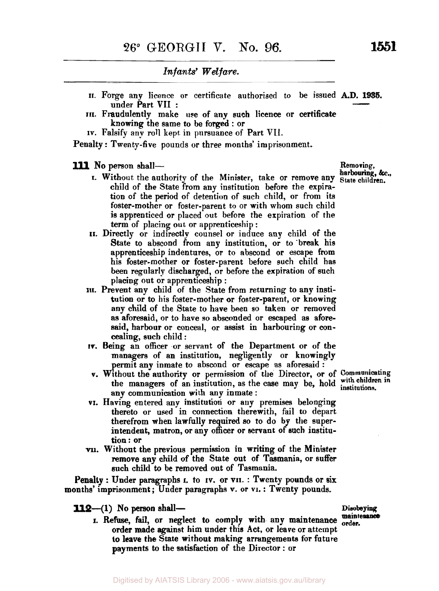- **II.** Forge any licence or certificate authorised to be issued **A.D. 1935.**  Infants' Welfare.<br>
The same of the set of any such licence or certificate<br>
and allem tives are of any such licence or certificate<br>
and the same of any such licence or certificate
- **III.** Fraudulently make use of any such licence or certificate knowing the same to be forged : or
- **IV.** Falsify any roll kept in pursuance of Part VII.

Penalty: Twenty-five pounds or three months' imprisonment.

- **III** No person shall-<br>**Removing, &c.,**<br>**Removing, &c.,**<br>**Removing, &c.**, child of the State from any institution before the expiration of the period of detention **of** such child, or from its foster-mother or foster-parent to or with whom such child is apprenticed or placed out before the expiration of the term of placing out or apprenticeship : **harbouring,** &., I. Without the authority of the Minister, take or remove any **state children.** 
	- **II.** Directly or indirectly counsel or induce any child of the State to abscond from any institution, or to 'break his apprenticeship indentures, or to abscond or escape from his foster-mother or foster-parent before such child has been regularly discharged, **or** before the expiration of such placing out or apprenticeship :
	- **III.** Prevent any child **of** the State from returning to any institution or to his foster-mother or foster-parent, or knowing any child of the State to have been so taken or removed as aforesaid, or to have *so* absconded or escaped as aforesaid, harbour or conceal, or assist in harbouring or concealing, such child :
	- **IV.** Being an officer or servant of the Department or of the managers of an institution, negligently or knowingly permit any inmate to abscond or escape as aforesaid :
	- v. Without the authority or permission of the Director, or of **Communicating**  the managers of an institution, as the case may be, hold with children institutions. any communication with any inmate :
	- **VI.** Having entered any institution or any premises belonging thereto or used in connection therewith, fail to depart therefrom when lawfully required *so* to do by the superintendent, matron, or any officer or servant of such institu**tion:** or
	- **VII.** Without the previous permission in writing of the Minister remove any child of the **State** out of Tasmania, or suffer such child to be removed out of Tasmania.

Penalty : Under paragraphs **I.** to **IV.** or **VII.** : Twenty pounds or **six**  months' imprisonment ; Under paragraphs **v.** or **VI.** : Twenty pounds.

**112-(l) No person** shall- **Dieobeying** 

**r.** Refuse, fail, or neglect to comply with any maintenance order. order made against him under this Act, or leave or attempt **to** leave the State without making arrangements for future payments to the satisfaction of the Director : or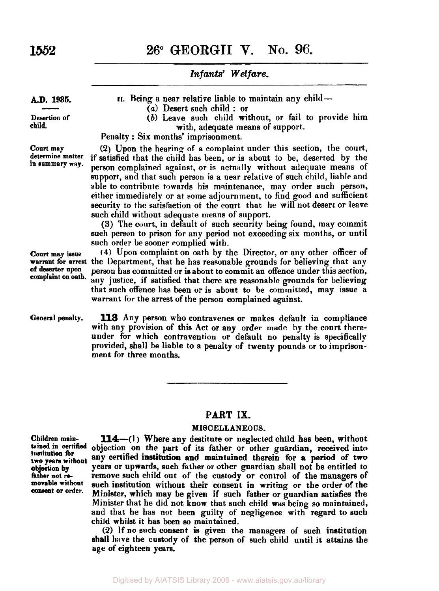**1552 26" GEORGII V. NO. 96.** 

*Infants) Welfare.* 

**AD. 1935.**   $\frac{1935}{\sqrt{100}}$ 

**Desertion of child.** 

**11.** Being a near relative liable to maintain any child-

- *(a)* Desert such child : or
- *(b)* Leave such child without, or fail to provide him with, adequate means of support.

Penalty : Six months' imprisonment.

**Court may (2)** Upon the hearing **of** a complaint under this section, the court, **determine matter** if satisfied that the child has been, or is about to be, deserted by the person complained against, or is actually without adequate means of support, and that such person is a near relative of such child, liable and able to contribute towards his maintenance, may order such person, either immediately or at some adjournment, to find good and sufficient security to the satisfaction ot the court that he will not desert or leave such child without adequate means of support.

> **(3)** The court, in default of such security being found, may commit such person to prison for any period not exceeding six months, or until such order be sooner complied with.

**court may issue (4)** Upon complaint on oath by the Director, or any other officer of **warrant for arrest the Department, that he has reasonable grounds for believing that any of deserter upon person has committed or is about to commit an offence under this section Of deserter Upon** person has committed **or** is about to commit an offence under this section, any justice, if satisfied that there are reasonable grounds for believing that such offence has been or is about to be committed, may issue a warrant for the arrest of the person complained against.

**113** Any person who contravenes or makes default in compliance with any provision of this Act or any order made by the court thereunder for which contravention or default no penalty is specifically provided, shall be liable to a penalty of twenty pounds or to imprisonment for three months. **General penalty.** 

#### **PART IX.**

#### **MISCELLANEOUS.**

**two years without** 

**Children main- 114-(1)** Where any destitute or neglected child has **been,** without **tained in certified** objection **on** the part of its father or other guardian, received into any certified institution and maintained therein for a period of two **objection by years or upwards, such father or other guardian shall not be entitled to father not re-** remove such child out of the custody or control of the managers of movable without such institution without their consent in writing or the order of the consent or order. Minister which may be given if angle father and in actions the **Or Order.** Minister, which may be given if such father or guardian satisfies the Minister that he did not know that such child **was** being so maintained, and that he has not been guilty of negligence with regard to such child whilst it has been **so** maintained. remove such child out of the custody or control of the managers of

> **(2)** If no such consent is given the managers of such institution shall **have** the custody of the person **of** such child until it attains the age of eighteen years.

Digitised by AIATSIS Library 2006 - www.aiatsis.gov.au/library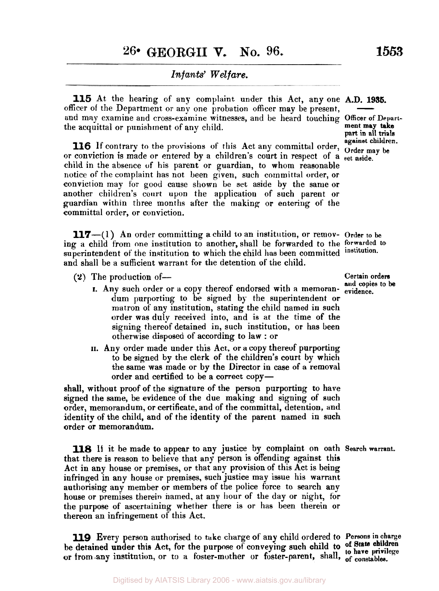#### *Infants' Welfare.*

**115** At the hearing of any complaint under this Act, any one A.D. **1935.**  officer of the Department or any one probation officer may be present, **and may examine and cross-examine witnesses, and be heard touching Officer of Depart-**<br> **and may examine and cross-examine witnesses, and be heard touching Officer of Depart**the acquittal or punishment of any child.

**against children. 116** If contrary to the provisions of this Act any committal order, **Order may be**  or conviction is made or entered by a children's court in respect of a set aside. child in the absence **of** his parent or guardian, to whom reasonable notice of the complaint has not been given, such committal order, or conviction may tor good cause shown be set aside by the same or another children's court upon the application of such parent or guardian within three months after the making or entering of the committal order, or conviction.

**117**-(1) An order committing a child to an institution, or remov- Order to be ing a child from one institution to another, shall be forwarded to the **forwarded** to superintendent of the institution to which the child has been committed institution. and shall be a sufficient warrant for the detention of the child.

- **(2)** The production **of- Certain orders** 
	- **1.** Any such order or a copy thereof endorsed with a memorandum purporting to be signed by the superintendent or matron of any institution, stating the child named in such order was duly received into, and is at the time of the signing thereof detained in, such institution, or has been otherwise disposed of according to law : or
	- **II.** Any order made under this Act, or a copy thereof purporting to be signed by the clerk of the children's court by which the same was made or by the Director in case of a removal order and certified to be a correct copy-

shall, without proof of the signature of the person purporting to have signed the same, be evidence of the due making and signing of such order, memorandum, or certificate, and of the committal, detention, and identity of the child, and of the identity of the parent named in such order or memorandum.

**118** If it be made to appear to any justice by complaint on oath **Search warrant.**  that there is reason to believe that any person is offending against this Act in any house or premises, or that any provision of this Act is being infringed in any house or premises, such justice may issue his warrant authorising any member or members of the police force to search any house or premises therein named, at any hour of the day or night, for the purpose of ascertaining whether there is or has been therein or thereon an infringement of this Act.

**119** Every person authorised to take charge of any child ordered to **Persons in charge**  be detained under this Act, for the purpose of conveying such child to of State children or **from** any institution, or to a foster-mother **or** foster-parent, shall, **of constables.** 

**ment may take part in all trials** 

**and copies** *to* **be**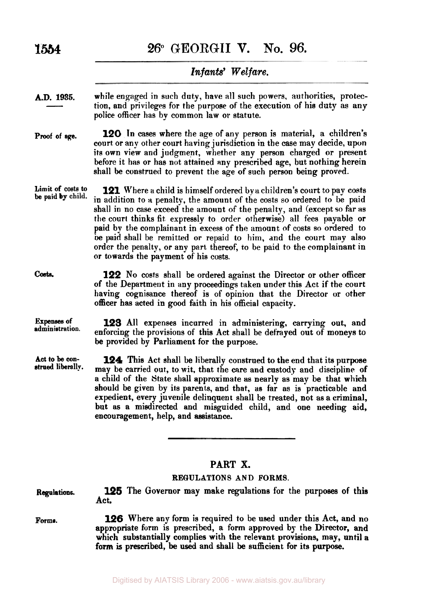**1554 26" GEORGII V. No. 96.** 

#### Infants' Welfare.

while engaged in such duty, have **all** such powers, authorities, protection, and privileges for the purpose of the execution of his duty as any police officer has by common law or statute. **A.D. 1935.**   $\frac{1935}{\frac{1}{2}}$ **Proof of age. 120** In cases where the age of any person is material, a children's court or any other court having jurisdiction in the case may decide, upon its own view and judgment, whether any person charged or present before it has or has not attained any prescribed age, but nothing herein shall be construed to prevent the age of such person being proved. Limit of costs to **be paid 121** Where a child is himself ordered by a children's court to pay costs in addition to *a* penalty, the amount of the costs so ordered to be paid shall in no case exceed the amount of the penalty, and (except so far *as*  the court thinks fit expressly to order otherwise) all fees payable or paid by the complainant in excess of the amount of costs so ordered to **be** paid shall be remitted or repaid to him, and the court may also order the penalty, or any part thereof, to be paid to the complainant in **or** towards the payment of his costs. **Costs 122** No costs shall be ordered against the Director or other officer of the Department in any proceedings taken under this Act, if the court having cognisance thereof is of opinion that the Director or other officer has acted in good faith in his official capacity. **Expenses of 123 All expenses incurred in administering, carrying out, and administration.** or foreing the provisions of this Ast shall be defined out of monous to enforcing the provisions of this Act shall be defrayed out of moneys to be provided by Parliament for the purpose. **Act to be construed liberally. 124** This Act shall be liberally construed to the end that its purpose may be carried out, to wit, that the care and custody and discipline of a child of the State shall approximate **as** nearly as may be that which should be given by its parents, and that, **as** far **as** is practicable and expedient, every juvenile delinquent shall be treated, not as a criminal,

#### **PART X.**

but as a misdirected and misguided child, and one needing aid,

#### **REGULATIONS AND FORMS.**

| <b>Regulations.</b> | 125 The Governor may make regulations for the purposes of this<br>Act.                                                                                                                                                                                                                      |
|---------------------|---------------------------------------------------------------------------------------------------------------------------------------------------------------------------------------------------------------------------------------------------------------------------------------------|
| Forms.              | 126 Where any form is required to be used under this Act, and no<br>appropriate form is prescribed, a form approved by the Director, and<br>which substantially complies with the relevant provisions, may, until a<br>form is prescribed, be used and shall be sufficient for its purpose. |

encouragement, help, and assistance.